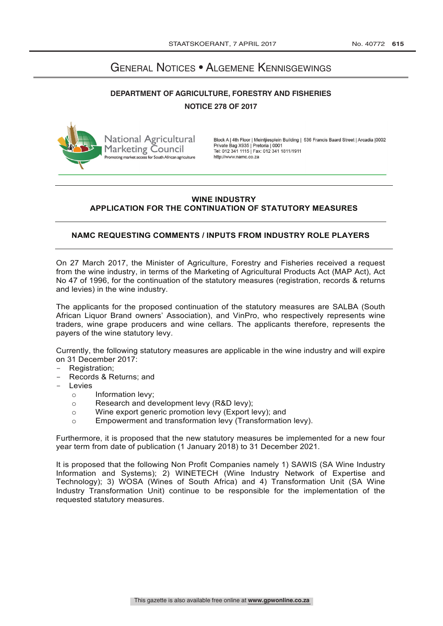# General Notices • Algemene Kennisgewings

## **DEPARTMENT OF AGRICULTURE, FORESTRY AND FISHERIES NOTICE 278 OF 2017**



Block A | 4th Floor | Meintjiesplein Building | 536 Francis Baard Street | Arcadia | 0002 Private Bag X935 | Pretoria | 0001<br>Tel: 012 341 1115 | Fax: 012 341 1811/1911 http://www.namc.co.za

## **WINE INDUSTRY APPLICATION FOR THE CONTINUATION OF STATUTORY MEASURES**

## **NAMC REQUESTING COMMENTS / INPUTS FROM INDUSTRY ROLE PLAYERS**

On 27 March 2017, the Minister of Agriculture, Forestry and Fisheries received a request from the wine industry, in terms of the Marketing of Agricultural Products Act (MAP Act), Act No 47 of 1996, for the continuation of the statutory measures (registration, records & returns and levies) in the wine industry.

The applicants for the proposed continuation of the statutory measures are SALBA (South African Liquor Brand owners' Association), and VinPro, who respectively represents wine traders, wine grape producers and wine cellars. The applicants therefore, represents the payers of the wine statutory levy.

Currently, the following statutory measures are applicable in the wine industry and will expire on 31 December 2017:

- Registration;
- Records & Returns; and
- Levies
	- Information levy;
	- o Research and development levy (R&D levy);
	- $\circ$  Wine export generic promotion levy (Export levy); and<br> $\circ$  Empowerment and transformation levy (Transformatio
	- Empowerment and transformation levy (Transformation levy).

Furthermore, it is proposed that the new statutory measures be implemented for a new four year term from date of publication (1 January 2018) to 31 December 2021.

It is proposed that the following Non Profit Companies namely 1) SAWIS (SA Wine Industry Information and Systems); 2) WINETECH (Wine Industry Network of Expertise and Technology); 3) WOSA (Wines of South Africa) and 4) Transformation Unit (SA Wine Industry Transformation Unit) continue to be responsible for the implementation of the requested statutory measures.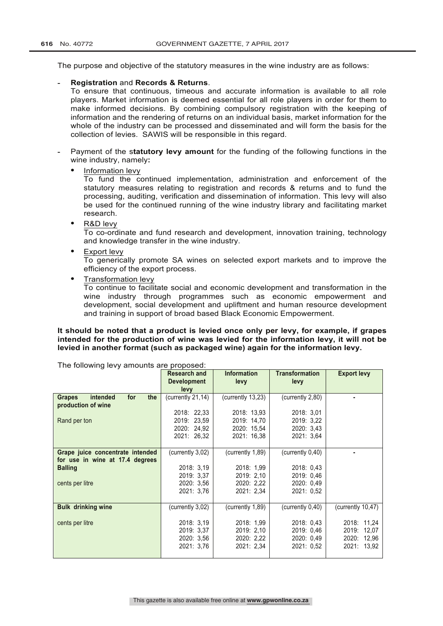The purpose and objective of the statutory measures in the wine industry are as follows:

#### **- Registration** and **Records & Returns**.

To ensure that continuous, timeous and accurate information is available to all role players. Market information is deemed essential for all role players in order for them to make informed decisions. By combining compulsory registration with the keeping of information and the rendering of returns on an individual basis, market information for the whole of the industry can be processed and disseminated and will form the basis for the collection of levies. SAWIS will be responsible in this regard.

- **-** Payment of the s**tatutory levy amount** for the funding of the following functions in the wine industry, namely**:**
	- **•** Information levy

To fund the continued implementation, administration and enforcement of the statutory measures relating to registration and records & returns and to fund the processing, auditing, verification and dissemination of information. This levy will also be used for the continued running of the wine industry library and facilitating market research.

**•** R&D levy

To co-ordinate and fund research and development, innovation training, technology and knowledge transfer in the wine industry.

**•** Export levy

To generically promote SA wines on selected export markets and to improve the efficiency of the export process.

**•** Transformation levy

To continue to facilitate social and economic development and transformation in the wine industry through programmes such as economic empowerment and development, social development and upliftment and human resource development and training in support of broad based Black Economic Empowerment.

### **It should be noted that a product is levied once only per levy, for example, if grapes intended for the production of wine was levied for the information levy, it will not be levied in another format (such as packaged wine) again for the information levy.**

| The following levy amounts are proposed. |                     |                    |                       |                    |
|------------------------------------------|---------------------|--------------------|-----------------------|--------------------|
|                                          | <b>Research and</b> | <b>Information</b> | <b>Transformation</b> | <b>Export levy</b> |
|                                          | <b>Development</b>  | levy               | levy                  |                    |
|                                          |                     |                    |                       |                    |
|                                          | levy                |                    |                       |                    |
| intended<br>for<br>the<br><b>Grapes</b>  | (currently 21,14)   | (currently 13,23)  | (currently 2,80)      |                    |
| production of wine                       |                     |                    |                       |                    |
|                                          |                     |                    |                       |                    |
|                                          | 2018: 22,33         | 2018: 13,93        | 2018: 3.01            |                    |
| Rand per ton                             | 2019: 23,59         | 2019: 14,70        | 2019: 3,22            |                    |
|                                          | 2020: 24,92         | 2020: 15.54        | 2020: 3.43            |                    |
|                                          | 2021: 26,32         | 2021: 16,38        | 2021: 3,64            |                    |
|                                          |                     |                    |                       |                    |
|                                          |                     |                    |                       |                    |
| Grape juice concentrate intended         | (currently 3,02)    | (currently 1,89)   | (currently 0,40)      |                    |
| for use in wine at 17.4 degrees          |                     |                    |                       |                    |
| <b>Balling</b>                           | 2018: 3.19          | 2018: 1.99         | 2018: 0.43            |                    |
|                                          |                     |                    |                       |                    |
|                                          | 2019: 3.37          | 2019: 2,10         | 2019: 0.46            |                    |
| cents per litre                          | 2020: 3.56          | 2020: 2,22         | 2020: 0.49            |                    |
|                                          | 2021: 3.76          | 2021: 2,34         | 2021: 0.52            |                    |
|                                          |                     |                    |                       |                    |
|                                          |                     |                    |                       |                    |
| <b>Bulk drinking wine</b>                | (currently 3,02)    | (currently 1,89)   | (currently 0,40)      | (currently 10,47)  |
|                                          |                     |                    |                       |                    |
| cents per litre                          | 2018: 3,19          | 2018: 1,99         | 2018: 0.43            | 2018: 11,24        |
|                                          | 2019: 3.37          | 2019: 2,10         | 2019: 0.46            | 2019:<br>12,07     |
|                                          |                     |                    |                       |                    |
|                                          | 2020: 3,56          | 2020: 2,22         | 2020: 0.49            | 12,96<br>2020:     |
|                                          | 2021: 3,76          | 2021: 2,34         | 2021: 0.52            | 2021: 13,92        |
|                                          |                     |                    |                       |                    |
|                                          |                     |                    |                       |                    |

The following levy amounts are proposed: